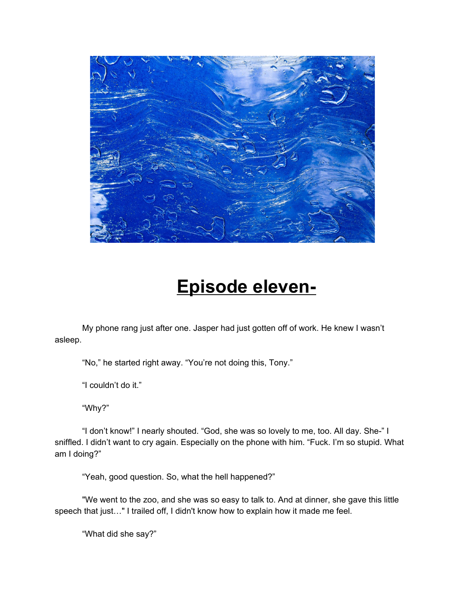

## **Episode eleven-**

My phone rang just after one. Jasper had just gotten off of work. He knew I wasn't asleep.

"No," he started right away. "You're not doing this, Tony."

"I couldn't do it."

"Why?"

"I don't know!" I nearly shouted. "God, she was so lovely to me, too. All day. She-" I sniffled. I didn't want to cry again. Especially on the phone with him. "Fuck. I'm so stupid. What am I doing?"

"Yeah, good question. So, what the hell happened?"

"We went to the zoo, and she was so easy to talk to. And at dinner, she gave this little speech that just…" I trailed off, I didn't know how to explain how it made me feel.

"What did she say?"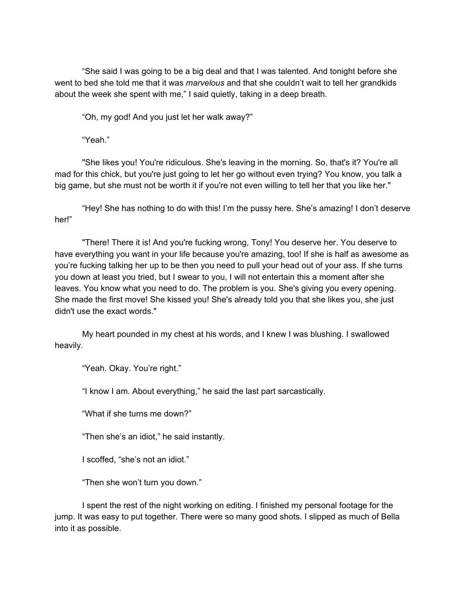"She said I was going to be a big deal and that I was talented. And tonight before she went to bed she told me that it was *marvelous* and that she couldn't wait to tell her grandkids about the week she spent with me," I said quietly, taking in a deep breath.

"Oh, my god! And you just let her walk away?"

"Yeah."

"She likes you! You're ridiculous. She's leaving in the morning. So, that's it? You're all mad for this chick, but you're just going to let her go without even trying? You know, you talk a big game, but she must not be worth it if you're not even willing to tell her that you like her."

"Hey! She has nothing to do with this! I'm the pussy here. She's amazing! I don't deserve her!"

"There! There it is! And you're fucking wrong, Tony! You deserve her. You deserve to have everything you want in your life because you're amazing, too! If she is half as awesome as you're fucking talking her up to be then you need to pull your head out of your ass. If she turns you down at least you tried, but I swear to you, I will not entertain this a moment after she leaves. You know what you need to do. The problem is you. She's giving you every opening. She made the first move! She kissed you! She's already told you that she likes you, she just didn't use the exact words."

My heart pounded in my chest at his words, and I knew I was blushing. I swallowed heavily.

"Yeah. Okay. You're right."

"I know I am. About everything," he said the last part sarcastically.

"What if she turns me down?"

"Then she's an idiot," he said instantly.

I scoffed, "she's not an idiot."

"Then she won't turn you down."

I spent the rest of the night working on editing. I finished my personal footage for the jump. It was easy to put together. There were so many good shots. I slipped as much of Bella into it as possible.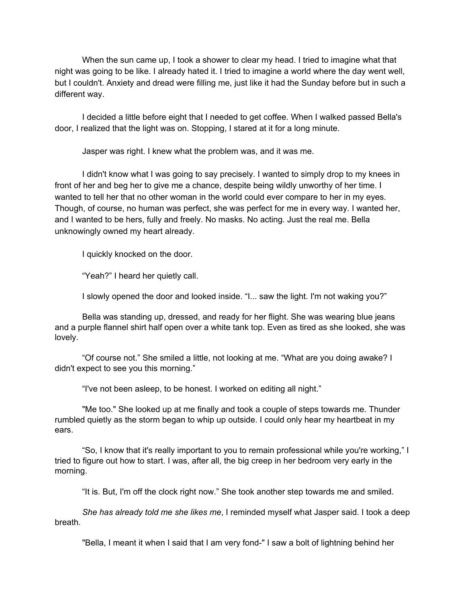When the sun came up, I took a shower to clear my head. I tried to imagine what that night was going to be like. I already hated it. I tried to imagine a world where the day went well, but I couldn't. Anxiety and dread were filling me, just like it had the Sunday before but in such a different way.

I decided a little before eight that I needed to get coffee. When I walked passed Bella's door, I realized that the light was on. Stopping, I stared at it for a long minute.

Jasper was right. I knew what the problem was, and it was me.

I didn't know what I was going to say precisely. I wanted to simply drop to my knees in front of her and beg her to give me a chance, despite being wildly unworthy of her time. I wanted to tell her that no other woman in the world could ever compare to her in my eyes. Though, of course, no human was perfect, she was perfect for me in every way. I wanted her, and I wanted to be hers, fully and freely. No masks. No acting. Just the real me. Bella unknowingly owned my heart already.

I quickly knocked on the door.

"Yeah?" I heard her quietly call.

I slowly opened the door and looked inside. "I... saw the light. I'm not waking you?"

Bella was standing up, dressed, and ready for her flight. She was wearing blue jeans and a purple flannel shirt half open over a white tank top. Even as tired as she looked, she was lovely.

"Of course not." She smiled a little, not looking at me. "What are you doing awake? I didn't expect to see you this morning."

"I've not been asleep, to be honest. I worked on editing all night."

"Me too." She looked up at me finally and took a couple of steps towards me. Thunder rumbled quietly as the storm began to whip up outside. I could only hear my heartbeat in my ears.

"So, I know that it's really important to you to remain professional while you're working," I tried to figure out how to start. I was, after all, the big creep in her bedroom very early in the morning.

"It is. But, I'm off the clock right now." She took another step towards me and smiled.

*She has already told me she likes me*, I reminded myself what Jasper said. I took a deep breath.

"Bella, I meant it when I said that I am very fond-" I saw a bolt of lightning behind her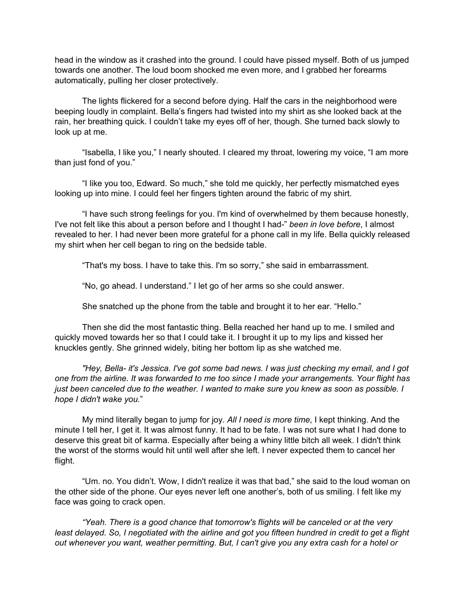head in the window as it crashed into the ground. I could have pissed myself. Both of us jumped towards one another. The loud boom shocked me even more, and I grabbed her forearms automatically, pulling her closer protectively.

The lights flickered for a second before dying. Half the cars in the neighborhood were beeping loudly in complaint. Bella's fingers had twisted into my shirt as she looked back at the rain, her breathing quick. I couldn't take my eyes off of her, though. She turned back slowly to look up at me.

"Isabella, I like you," I nearly shouted. I cleared my throat, lowering my voice, "I am more than just fond of you."

"I like you too, Edward. So much," she told me quickly, her perfectly mismatched eyes looking up into mine. I could feel her fingers tighten around the fabric of my shirt.

"I have such strong feelings for you. I'm kind of overwhelmed by them because honestly, I've not felt like this about a person before and I thought I had-" *been in love before*, I almost revealed to her. I had never been more grateful for a phone call in my life. Bella quickly released my shirt when her cell began to ring on the bedside table.

"That's my boss. I have to take this. I'm so sorry," she said in embarrassment.

"No, go ahead. I understand." I let go of her arms so she could answer.

She snatched up the phone from the table and brought it to her ear. "Hello."

Then she did the most fantastic thing. Bella reached her hand up to me. I smiled and quickly moved towards her so that I could take it. I brought it up to my lips and kissed her knuckles gently. She grinned widely, biting her bottom lip as she watched me.

*"Hey, Bella- it's Jessica. I've got some bad news. I was just checking my email, and I got one from the airline. It was forwarded to me too since I made your arrangements. Your flight has* just been canceled due to the weather. I wanted to make sure you knew as soon as possible. I *hope I didn't wake you.*"

My mind literally began to jump for joy. *All I need is more time*, I kept thinking. And the minute I tell her, I get it. It was almost funny. It had to be fate. I was not sure what I had done to deserve this great bit of karma. Especially after being a whiny little bitch all week. I didn't think the worst of the storms would hit until well after she left. I never expected them to cancel her flight.

"Um. no. You didn't. Wow, I didn't realize it was that bad," she said to the loud woman on the other side of the phone. Our eyes never left one another's, both of us smiling. I felt like my face was going to crack open.

*"Yeah. There is a good chance that tomorrow's flights will be canceled or at the very* least delayed. So, I negotiated with the airline and got you fifteen hundred in credit to get a flight *out whenever you want, weather permitting. But, I can't give you any extra cash for a hotel or*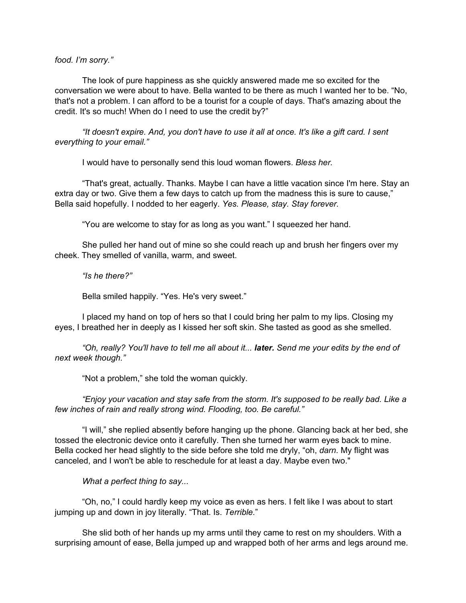## *food. I'm sorry."*

The look of pure happiness as she quickly answered made me so excited for the conversation we were about to have. Bella wanted to be there as much I wanted her to be. "No, that's not a problem. I can afford to be a tourist for a couple of days. That's amazing about the credit. It's so much! When do I need to use the credit by?"

"It doesn't expire. And, you don't have to use it all at once. It's like a gift card. I sent *everything to your email."*

I would have to personally send this loud woman flowers. *Bless her.*

"That's great, actually. Thanks. Maybe I can have a little vacation since I'm here. Stay an extra day or two. Give them a few days to catch up from the madness this is sure to cause," Bella said hopefully. I nodded to her eagerly. *Yes. Please, stay. Stay forever.*

"You are welcome to stay for as long as you want." I squeezed her hand.

She pulled her hand out of mine so she could reach up and brush her fingers over my cheek. They smelled of vanilla, warm, and sweet.

*"Is he there?"*

Bella smiled happily. "Yes. He's very sweet."

I placed my hand on top of hers so that I could bring her palm to my lips. Closing my eyes, I breathed her in deeply as I kissed her soft skin. She tasted as good as she smelled.

*"Oh, really? You'll have to tell me all about it... later. Send me your edits by the end of next week though."*

"Not a problem," she told the woman quickly.

*"Enjoy your vacation and stay safe from the storm. It's supposed to be really bad. Like a few inches of rain and really strong wind. Flooding, too. Be careful."*

"I will," she replied absently before hanging up the phone. Glancing back at her bed, she tossed the electronic device onto it carefully. Then she turned her warm eyes back to mine. Bella cocked her head slightly to the side before she told me dryly, "oh, *darn*. My flight was canceled, and I won't be able to reschedule for at least a day. Maybe even two."

*What a perfect thing to say...*

"Oh, no," I could hardly keep my voice as even as hers. I felt like I was about to start jumping up and down in joy literally. "That. Is. *Terrible.*"

She slid both of her hands up my arms until they came to rest on my shoulders. With a surprising amount of ease, Bella jumped up and wrapped both of her arms and legs around me.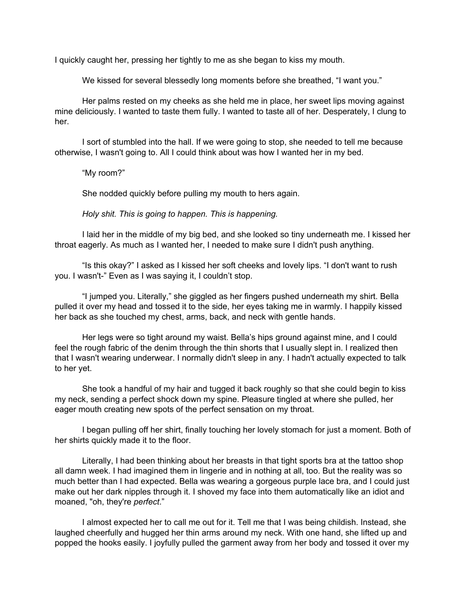I quickly caught her, pressing her tightly to me as she began to kiss my mouth.

We kissed for several blessedly long moments before she breathed, "I want you."

Her palms rested on my cheeks as she held me in place, her sweet lips moving against mine deliciously. I wanted to taste them fully. I wanted to taste all of her. Desperately, I clung to her.

I sort of stumbled into the hall. If we were going to stop, she needed to tell me because otherwise, I wasn't going to. All I could think about was how I wanted her in my bed.

"My room?"

She nodded quickly before pulling my mouth to hers again.

*Holy shit. This is going to happen. This is happening.*

I laid her in the middle of my big bed, and she looked so tiny underneath me. I kissed her throat eagerly. As much as I wanted her, I needed to make sure I didn't push anything.

"Is this okay?" I asked as I kissed her soft cheeks and lovely lips. "I don't want to rush you. I wasn't-" Even as I was saying it, I couldn't stop.

"I jumped you. Literally," she giggled as her fingers pushed underneath my shirt. Bella pulled it over my head and tossed it to the side, her eyes taking me in warmly. I happily kissed her back as she touched my chest, arms, back, and neck with gentle hands.

Her legs were so tight around my waist. Bella's hips ground against mine, and I could feel the rough fabric of the denim through the thin shorts that I usually slept in. I realized then that I wasn't wearing underwear. I normally didn't sleep in any. I hadn't actually expected to talk to her yet.

She took a handful of my hair and tugged it back roughly so that she could begin to kiss my neck, sending a perfect shock down my spine. Pleasure tingled at where she pulled, her eager mouth creating new spots of the perfect sensation on my throat.

I began pulling off her shirt, finally touching her lovely stomach for just a moment. Both of her shirts quickly made it to the floor.

Literally, I had been thinking about her breasts in that tight sports bra at the tattoo shop all damn week. I had imagined them in lingerie and in nothing at all, too. But the reality was so much better than I had expected. Bella was wearing a gorgeous purple lace bra, and I could just make out her dark nipples through it. I shoved my face into them automatically like an idiot and moaned, "oh, they're *perfect*."

I almost expected her to call me out for it. Tell me that I was being childish. Instead, she laughed cheerfully and hugged her thin arms around my neck. With one hand, she lifted up and popped the hooks easily. I joyfully pulled the garment away from her body and tossed it over my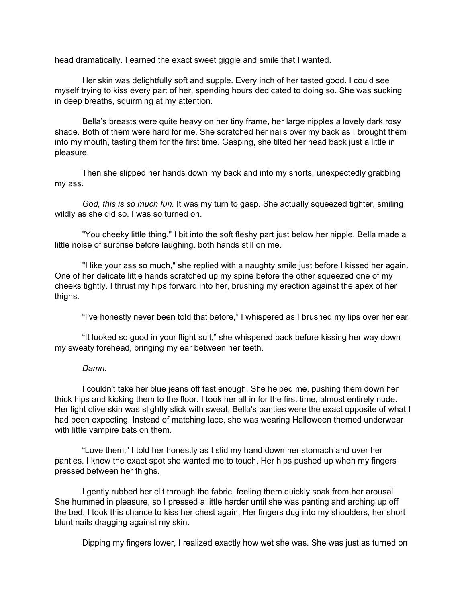head dramatically. I earned the exact sweet giggle and smile that I wanted.

Her skin was delightfully soft and supple. Every inch of her tasted good. I could see myself trying to kiss every part of her, spending hours dedicated to doing so. She was sucking in deep breaths, squirming at my attention.

Bella's breasts were quite heavy on her tiny frame, her large nipples a lovely dark rosy shade. Both of them were hard for me. She scratched her nails over my back as I brought them into my mouth, tasting them for the first time. Gasping, she tilted her head back just a little in pleasure.

Then she slipped her hands down my back and into my shorts, unexpectedly grabbing my ass.

*God, this is so much fun.* It was my turn to gasp. She actually squeezed tighter, smiling wildly as she did so. I was so turned on.

"You cheeky little thing." I bit into the soft fleshy part just below her nipple. Bella made a little noise of surprise before laughing, both hands still on me.

"I like your ass so much," she replied with a naughty smile just before I kissed her again. One of her delicate little hands scratched up my spine before the other squeezed one of my cheeks tightly. I thrust my hips forward into her, brushing my erection against the apex of her thighs.

"I've honestly never been told that before," I whispered as I brushed my lips over her ear.

"It looked so good in your flight suit," she whispered back before kissing her way down my sweaty forehead, bringing my ear between her teeth.

## *Damn.*

I couldn't take her blue jeans off fast enough. She helped me, pushing them down her thick hips and kicking them to the floor. I took her all in for the first time, almost entirely nude. Her light olive skin was slightly slick with sweat. Bella's panties were the exact opposite of what I had been expecting. Instead of matching lace, she was wearing Halloween themed underwear with little vampire bats on them.

"Love them," I told her honestly as I slid my hand down her stomach and over her panties. I knew the exact spot she wanted me to touch. Her hips pushed up when my fingers pressed between her thighs.

I gently rubbed her clit through the fabric, feeling them quickly soak from her arousal. She hummed in pleasure, so I pressed a little harder until she was panting and arching up off the bed. I took this chance to kiss her chest again. Her fingers dug into my shoulders, her short blunt nails dragging against my skin.

Dipping my fingers lower, I realized exactly how wet she was. She was just as turned on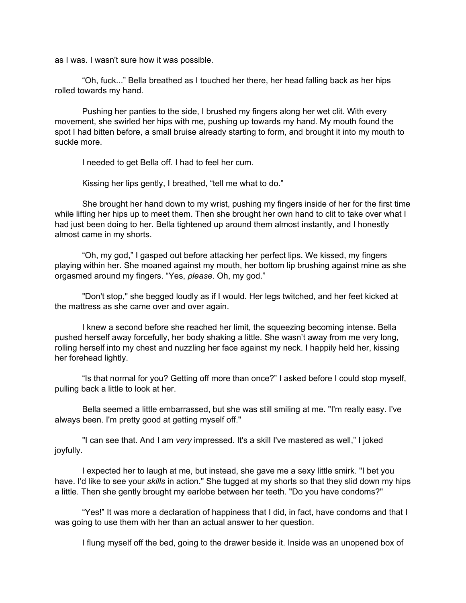as I was. I wasn't sure how it was possible.

"Oh, fuck..." Bella breathed as I touched her there, her head falling back as her hips rolled towards my hand.

Pushing her panties to the side, I brushed my fingers along her wet clit. With every movement, she swirled her hips with me, pushing up towards my hand. My mouth found the spot I had bitten before, a small bruise already starting to form, and brought it into my mouth to suckle more.

I needed to get Bella off. I had to feel her cum.

Kissing her lips gently, I breathed, "tell me what to do."

She brought her hand down to my wrist, pushing my fingers inside of her for the first time while lifting her hips up to meet them. Then she brought her own hand to clit to take over what I had just been doing to her. Bella tightened up around them almost instantly, and I honestly almost came in my shorts.

"Oh, my god," I gasped out before attacking her perfect lips. We kissed, my fingers playing within her. She moaned against my mouth, her bottom lip brushing against mine as she orgasmed around my fingers. "Yes, *please*. Oh, my god."

"Don't stop," she begged loudly as if I would. Her legs twitched, and her feet kicked at the mattress as she came over and over again.

I knew a second before she reached her limit, the squeezing becoming intense. Bella pushed herself away forcefully, her body shaking a little. She wasn't away from me very long, rolling herself into my chest and nuzzling her face against my neck. I happily held her, kissing her forehead lightly.

"Is that normal for you? Getting off more than once?" I asked before I could stop myself, pulling back a little to look at her.

Bella seemed a little embarrassed, but she was still smiling at me. "I'm really easy. I've always been. I'm pretty good at getting myself off."

"I can see that. And I am *very* impressed. It's a skill I've mastered as well," I joked joyfully.

I expected her to laugh at me, but instead, she gave me a sexy little smirk. "I bet you have. I'd like to see your *skills* in action." She tugged at my shorts so that they slid down my hips a little. Then she gently brought my earlobe between her teeth. "Do you have condoms?"

"Yes!" It was more a declaration of happiness that I did, in fact, have condoms and that I was going to use them with her than an actual answer to her question.

I flung myself off the bed, going to the drawer beside it. Inside was an unopened box of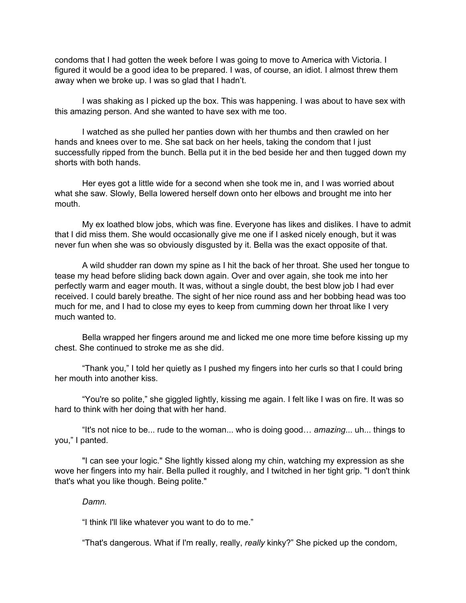condoms that I had gotten the week before I was going to move to America with Victoria. I figured it would be a good idea to be prepared. I was, of course, an idiot. I almost threw them away when we broke up. I was so glad that I hadn't.

I was shaking as I picked up the box. This was happening. I was about to have sex with this amazing person. And she wanted to have sex with me too.

I watched as she pulled her panties down with her thumbs and then crawled on her hands and knees over to me. She sat back on her heels, taking the condom that I just successfully ripped from the bunch. Bella put it in the bed beside her and then tugged down my shorts with both hands.

Her eyes got a little wide for a second when she took me in, and I was worried about what she saw. Slowly, Bella lowered herself down onto her elbows and brought me into her mouth.

My ex loathed blow jobs, which was fine. Everyone has likes and dislikes. I have to admit that I did miss them. She would occasionally give me one if I asked nicely enough, but it was never fun when she was so obviously disgusted by it. Bella was the exact opposite of that.

A wild shudder ran down my spine as I hit the back of her throat. She used her tongue to tease my head before sliding back down again. Over and over again, she took me into her perfectly warm and eager mouth. It was, without a single doubt, the best blow job I had ever received. I could barely breathe. The sight of her nice round ass and her bobbing head was too much for me, and I had to close my eyes to keep from cumming down her throat like I very much wanted to.

Bella wrapped her fingers around me and licked me one more time before kissing up my chest. She continued to stroke me as she did.

"Thank you," I told her quietly as I pushed my fingers into her curls so that I could bring her mouth into another kiss.

"You're so polite," she giggled lightly, kissing me again. I felt like I was on fire. It was so hard to think with her doing that with her hand.

"It's not nice to be... rude to the woman... who is doing good… *amazing*... uh... things to you," I panted.

"I can see your logic." She lightly kissed along my chin, watching my expression as she wove her fingers into my hair. Bella pulled it roughly, and I twitched in her tight grip. "I don't think that's what you like though. Being polite."

## *Damn.*

"I think I'll like whatever you want to do to me."

"That's dangerous. What if I'm really, really, *really* kinky?" She picked up the condom,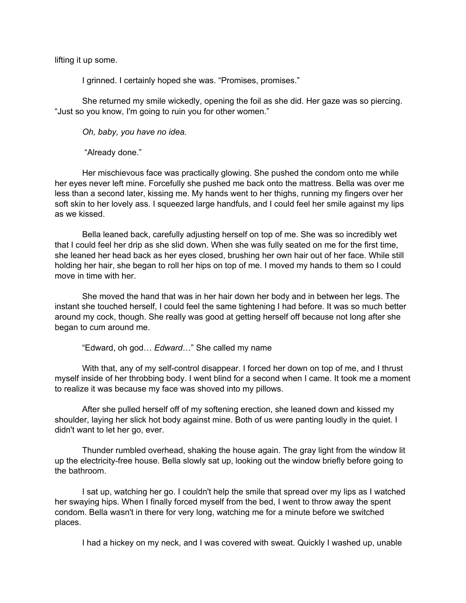lifting it up some.

I grinned. I certainly hoped she was. "Promises, promises."

She returned my smile wickedly, opening the foil as she did. Her gaze was so piercing. "Just so you know, I'm going to ruin you for other women."

*Oh, baby, you have no idea.*

"Already done."

Her mischievous face was practically glowing. She pushed the condom onto me while her eyes never left mine. Forcefully she pushed me back onto the mattress. Bella was over me less than a second later, kissing me. My hands went to her thighs, running my fingers over her soft skin to her lovely ass. I squeezed large handfuls, and I could feel her smile against my lips as we kissed.

Bella leaned back, carefully adjusting herself on top of me. She was so incredibly wet that I could feel her drip as she slid down. When she was fully seated on me for the first time, she leaned her head back as her eyes closed, brushing her own hair out of her face. While still holding her hair, she began to roll her hips on top of me. I moved my hands to them so I could move in time with her.

She moved the hand that was in her hair down her body and in between her legs. The instant she touched herself, I could feel the same tightening I had before. It was so much better around my cock, though. She really was good at getting herself off because not long after she began to cum around me.

"Edward, oh god… *Edward*…" She called my name

With that, any of my self-control disappear. I forced her down on top of me, and I thrust myself inside of her throbbing body. I went blind for a second when I came. It took me a moment to realize it was because my face was shoved into my pillows.

After she pulled herself off of my softening erection, she leaned down and kissed my shoulder, laying her slick hot body against mine. Both of us were panting loudly in the quiet. I didn't want to let her go, ever.

Thunder rumbled overhead, shaking the house again. The gray light from the window lit up the electricity-free house. Bella slowly sat up, looking out the window briefly before going to the bathroom.

I sat up, watching her go. I couldn't help the smile that spread over my lips as I watched her swaying hips. When I finally forced myself from the bed, I went to throw away the spent condom. Bella wasn't in there for very long, watching me for a minute before we switched places.

I had a hickey on my neck, and I was covered with sweat. Quickly I washed up, unable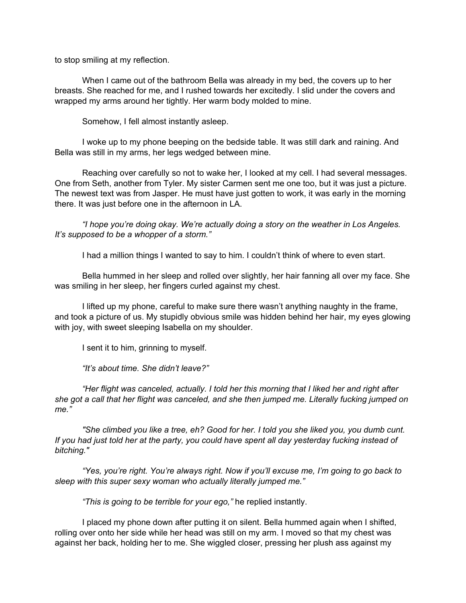to stop smiling at my reflection.

When I came out of the bathroom Bella was already in my bed, the covers up to her breasts. She reached for me, and I rushed towards her excitedly. I slid under the covers and wrapped my arms around her tightly. Her warm body molded to mine.

Somehow, I fell almost instantly asleep.

I woke up to my phone beeping on the bedside table. It was still dark and raining. And Bella was still in my arms, her legs wedged between mine.

Reaching over carefully so not to wake her, I looked at my cell. I had several messages. One from Seth, another from Tyler. My sister Carmen sent me one too, but it was just a picture. The newest text was from Jasper. He must have just gotten to work, it was early in the morning there. It was just before one in the afternoon in LA.

*"I hope you're doing okay. We're actually doing a story on the weather in Los Angeles. It's supposed to be a whopper of a storm."*

I had a million things I wanted to say to him. I couldn't think of where to even start.

Bella hummed in her sleep and rolled over slightly, her hair fanning all over my face. She was smiling in her sleep, her fingers curled against my chest.

I lifted up my phone, careful to make sure there wasn't anything naughty in the frame, and took a picture of us. My stupidly obvious smile was hidden behind her hair, my eyes glowing with joy, with sweet sleeping Isabella on my shoulder.

I sent it to him, grinning to myself.

*"It's about time. She didn't leave?"*

*"Her flight was canceled, actually. I told her this morning that I liked her and right after she got a call that her flight was canceled, and she then jumped me. Literally fucking jumped on me."*

*"She climbed you like a tree, eh? Good for her. I told you she liked you, you dumb cunt.* If you had just told her at the party, you could have spent all day yesterday fucking instead of *bitching."*

*"Yes, you're right. You're always right. Now if you'll excuse me, I'm going to go back to sleep with this super sexy woman who actually literally jumped me."*

*"This is going to be terrible for your ego,"* he replied instantly.

I placed my phone down after putting it on silent. Bella hummed again when I shifted, rolling over onto her side while her head was still on my arm. I moved so that my chest was against her back, holding her to me. She wiggled closer, pressing her plush ass against my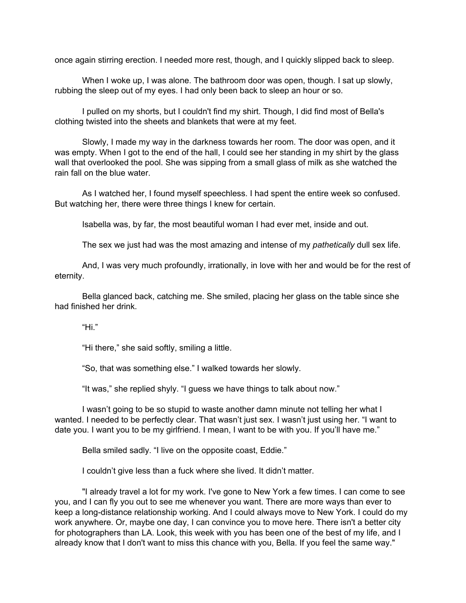once again stirring erection. I needed more rest, though, and I quickly slipped back to sleep.

When I woke up, I was alone. The bathroom door was open, though. I sat up slowly, rubbing the sleep out of my eyes. I had only been back to sleep an hour or so.

I pulled on my shorts, but I couldn't find my shirt. Though, I did find most of Bella's clothing twisted into the sheets and blankets that were at my feet.

Slowly, I made my way in the darkness towards her room. The door was open, and it was empty. When I got to the end of the hall, I could see her standing in my shirt by the glass wall that overlooked the pool. She was sipping from a small glass of milk as she watched the rain fall on the blue water.

As I watched her, I found myself speechless. I had spent the entire week so confused. But watching her, there were three things I knew for certain.

Isabella was, by far, the most beautiful woman I had ever met, inside and out.

The sex we just had was the most amazing and intense of my *pathetically* dull sex life.

And, I was very much profoundly, irrationally, in love with her and would be for the rest of eternity.

Bella glanced back, catching me. She smiled, placing her glass on the table since she had finished her drink.

"Hi."

"Hi there," she said softly, smiling a little.

"So, that was something else." I walked towards her slowly.

"It was," she replied shyly. "I guess we have things to talk about now."

I wasn't going to be so stupid to waste another damn minute not telling her what I wanted. I needed to be perfectly clear. That wasn't just sex. I wasn't just using her. "I want to date you. I want you to be my girlfriend. I mean, I want to be with you. If you'll have me."

Bella smiled sadly. "I live on the opposite coast, Eddie."

I couldn't give less than a fuck where she lived. It didn't matter.

"I already travel a lot for my work. I've gone to New York a few times. I can come to see you, and I can fly you out to see me whenever you want. There are more ways than ever to keep a long-distance relationship working. And I could always move to New York. I could do my work anywhere. Or, maybe one day, I can convince you to move here. There isn't a better city for photographers than LA. Look, this week with you has been one of the best of my life, and I already know that I don't want to miss this chance with you, Bella. If you feel the same way."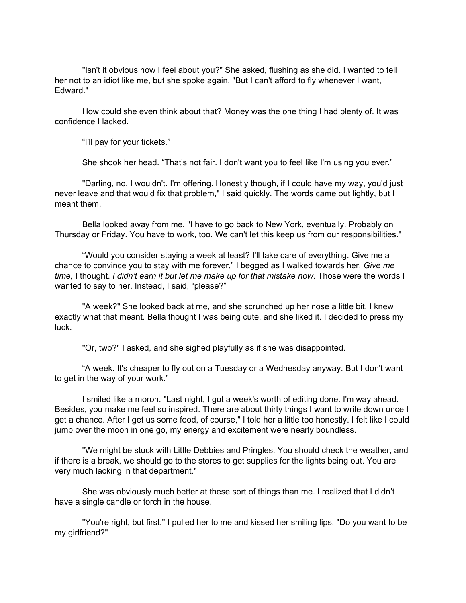"Isn't it obvious how I feel about you?" She asked, flushing as she did. I wanted to tell her not to an idiot like me, but she spoke again. "But I can't afford to fly whenever I want, Edward."

How could she even think about that? Money was the one thing I had plenty of. It was confidence I lacked.

"I'll pay for your tickets."

She shook her head. "That's not fair. I don't want you to feel like I'm using you ever."

"Darling, no. I wouldn't. I'm offering. Honestly though, if I could have my way, you'd just never leave and that would fix that problem," I said quickly. The words came out lightly, but I meant them.

Bella looked away from me. "I have to go back to New York, eventually. Probably on Thursday or Friday. You have to work, too. We can't let this keep us from our responsibilities."

"Would you consider staying a week at least? I'll take care of everything. Give me a chance to convince you to stay with me forever," I begged as I walked towards her. *Give me time,* I thought. *I didn't earn it but let me make up for that mistake now*. Those were the words I wanted to say to her. Instead, I said, "please?"

"A week?" She looked back at me, and she scrunched up her nose a little bit. I knew exactly what that meant. Bella thought I was being cute, and she liked it. I decided to press my luck.

"Or, two?" I asked, and she sighed playfully as if she was disappointed.

"A week. It's cheaper to fly out on a Tuesday or a Wednesday anyway. But I don't want to get in the way of your work."

I smiled like a moron. "Last night, I got a week's worth of editing done. I'm way ahead. Besides, you make me feel so inspired. There are about thirty things I want to write down once I get a chance. After I get us some food, of course," I told her a little too honestly. I felt like I could jump over the moon in one go, my energy and excitement were nearly boundless.

"We might be stuck with Little Debbies and Pringles. You should check the weather, and if there is a break, we should go to the stores to get supplies for the lights being out. You are very much lacking in that department."

She was obviously much better at these sort of things than me. I realized that I didn't have a single candle or torch in the house.

"You're right, but first." I pulled her to me and kissed her smiling lips. "Do you want to be my girlfriend?"